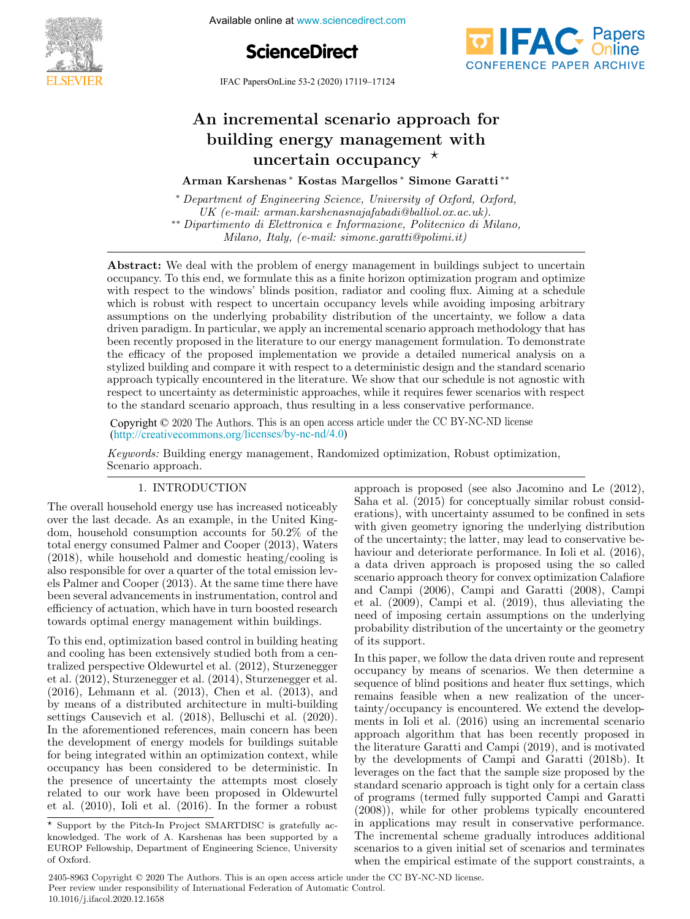





IFAC PapersOnLine 53-2 (2020) 17119–17124

#### An incremental scenario approach for n incremental scenario approach f n incremental scenario approach is<br>building energy management with An incremental scenario approach for An incremental scenario approach for ng energy management<br>uncertain occupancy  $^{\star}$ building energy management with An incremental scenario approach for Arman Karshenas ∗ Kostas Margellos ∗ Simone Garatti ∗∗ Arman Karshenas ∗ Kostas Margellos ∗ Simone Garatti ∗∗

Arman Karshenas ∗ Kostas Margellos ∗ Simone Garatti ∗∗ Arman Karshenas ∗ Kostas Margellos ∗ Simone Garatti ∗∗ Arman Karshenas ∗ Kostas Margellos ∗ Simone Garatti ∗∗ Arman Karshenas ∗ Kostas Margellos ∗ Simone Garatti ∗∗

∗ Department of Engineering Science, University of Oxford, Oxford, UK (e-mail: arman.karshenasnajafabadi@balliol.ox.ac.uk). ∗ Department of Engineering Science, University of Oxford, Oxford, ∗ Department of Engineering Science, University of Oxford, Oxford, ∗∗ Dipartimento di Elettronica e Informazione, Politecnico di Milano, UK (e-mail: arman.karshenasnajafabadi@balliol.ox.ac.uk). UK (e-mail: arman.karshenasnajafabadi@balliol.ox.ac.uk). Milano, Italy, (e-mail: simone.garatti@polimi.it) ∗∗ Dipartimento di Elettronica e Informazione, Politecnico di Milano,  $M_{\rm F}$  and  $M_{\rm F}$  (e-mail: simone.garatti $\epsilon_{\rm F}$  controls) vn (e-mail: arman.karshenashajajabaar@bathol.bx.ac.uk).<br>\*\* Dipartimento di Elettronica e Informazione, Politecnico di Milano,<br>Milano, Italy, (e-mail: simone.garatti@polimi.it) Milano, Italy, (e-mail: simone.garatti@polimi.it) \* Department of Engineering Science, University of Oxford, Oxford, UK (e-mail: arman.karshenasnajafabadi@balliol.ox.ac.uk). varumento ar Elettronica e Informazione, Foldechico ar I.<br>actualista faballiol.org

**Abstract:** We deal with the problem of energy management in buildings subject to uncertain<br>compares To this and are formulate this as a finite haring activistic and are more and activities occupancy. To this end, we formulate this as a finite horizon optimization program and optimize which is robust with respect to uncertain occupancy levels while avoiding imposing arbitrary which is robust with respect to uncertain occupancy levels while avoiding imposing arbitrary<br>assumptions on the underlying probability distribution of the uncertainty, we follow a data  $\alpha$  assumptions on the underlying probability distribution of the uncertainty, we follow a data a distance of the underlying probability distribution of the uncertainty, we follow a data<br>diven paradigm. In particular, we apply an incremental scenario approach methodology that has been recently proposed in the literature to our energy management formulation. To demonstrate the efficacy of the proposed implementation we provide a detailed numerical analysis on a stylized building and compare it with respect to a deterministic design and the standard scenario<br>approach typically encountered in the literature. We show that our schedule is not agnostic with approach typically encountered in the literature. We show that our schedule is not agnostic with respect to uncertainty as deterministic approaches, while it requires fewer scenarios with respect to the standard scenario approach, thus resulting in a less conservative performance. with respect to the windows' blinds position, radiator and cooling flux. Aiming at a schedule been recently proposed in the literature to our energy management formulation. To demonstrate stylized building and compare it with respect to a deterministic design and the standard scenario Milano, Italy, (e-mail: simone.garatti@polimi.it) Milano, Italy, (e-mail: simone.garatti@polimi.it)

(http://creativecommons.org/licenses/by-nc-nd/4.0) Converight @ 2020 The Authors. This is an open access article under the CC BY-NC-ND license Copyright  $\odot$  2020 The Authors. This is an open access article under the CC BY-NC-ND license  $r_{\rm r}$  is uncertainty as deterministic approaches, while it requires fewer scenarios with respect scenarios with respect to  $\sigma$ Copyright © 2020 The Authors. This is an open access article under the CC BY-NC-ND license

Keywords: Building energy management, Randomized optimization, Robust optimization, Scenario approach. Scenario approach. Scenario approach.  $Keywords:$  Building energy management, Randomized optimization, Robust optimization,  $\overline{\phantom{a}}$ approach is proposed (see also Jacob is proposed (see also Jacob is proposed (see also Jacob in Le (2012), and (http://creativecommons.org/icenses/by-nc-nd/4.0)<br>
Keywords: Building energy management, Randomized optimization, Robust optimization,<br>
Scenario approach.<br>
1. INTRODUCTION approach is proposed (see also Jacomine<br>
The overa

# 1. INTRODUCTION 1. INTRODUCTION 1. INTRODUCTION 1. **INTRODUCTION**

The overall household energy use has increased noticeably  $\sum_{n=1}^{\infty}$ The overall household energy also has increased noticeably<br>over the last decade. As an example, in the United Kingdom, household consumption accounts for  $50.2\%$  of the total energy consumed Palmer and Cooper (2013), Waters dom, household consumption accounts for 50.2% of the  $(2018)$ , while household and domestic heating/cooling is (2016), while household and domestic heating/cooling is also responsible for over a quarter of the total emission levels Palmer and Cooper (2013). At the same time there have been several advancements in instrumentation, control and efficiency of actuation, which have in turn boosted research been several advancements in instrumentation, control and been several advancements in instrumentation, control and efficiency of actuation, which have in turn boosted research towards optimal energy management within buildings.  $\frac{1}{100}$  and  $\frac{1}{100}$  and  $\frac{1}{100}$  and  $\frac{1}{100}$  and  $\frac{1}{100}$  and  $\frac{1}{100}$  and  $\frac{1}{100}$  and  $\frac{1}{100}$  and  $\frac{1}{100}$  and  $\frac{1}{100}$  and  $\frac{1}{100}$  and  $\frac{1}{100}$  and  $\frac{1}{100}$  and  $\frac{1}{100}$  a  $d$ dom, household consumption accounts for  $50.2\%$  of the last decade. As an example, in the United Kingtotal energy consumed Palmer and Cooper (2013), Waters<br>(2018), while household and domestic heating/cooling is<br>also responsible for over a quarter of the total emission lev- $(2018)$ , while household and domestic heating/cooling is dom, household consumption accounts for 50.2% of the<br>total energy consumed Palmer and Cooper (2013), Waters<br>(2018), while household and domestic heating/cooling is<br>also responsible for over a quarter of the total emission else Palmer and Cooper (2013). At the same time there have<br>been several advancements in instrumentation, control and  $\frac{1}{2}$  efficiency of actuation, which have in turn boosted research<br>towards ontimal energy management within huildings The overall household energy use has increased noticeably

To this end, optimization based control in building heating and cooling has been extensively studied both from a cen-To this end, optimization based control in building heating To this end, optimization based control in building heating tralized perspective Oldewurtel et al. (2012), Sturzenegger tranzed perspective Oldewurtel et al. (2012), Sturzenegger<br>et al. (2012), Sturzenegger et al. (2014), Sturzenegger et al. (2016), Lehmann et al. (2013), Chen et al. (2013), and et al. (2012), Sturzenegger et al. (2014), Sturzenegger et al. et al. (2012), Sturzenegger et al. (2014), Sturzenegger et al. by means of a distributed architecture in multi-building by means of a distributed architecture in multi-building<br>settings Causevich et al. (2018), Belluschi et al. (2020). In the aforementioned references, main concern has been the development of energy models for buildings suitable In the aforementioned references, main concern has been In the aforementioned references, main concern has been the development of energy models for buildings suitable<br>for being integrated within an optimization context, while occupancy has been considered to be deterministic. In the presence of uncertainty the attempts most closely<br>related to our work have been proposed in Oldewurtel related to our work have been proposed in Oldewurtel the presence of uncertainty the attempts most closely the presence of uncertainty the attempts most closely related to our work have been proposed in Oldewurtel<br>et al. (2010), Ioli et al. (2016). In the former a robust  $\frac{1}{2010}$ , Ion et al.  $\frac{2010}{1000}$ . In the former a robust and cooling has been extensively studied both from a cen-<br>trading has been extensively studied both from a cen- $(2016)$ , Lehmann et al.  $(2013)$ , Chen et al.  $(2013)$ , and<br> $(2014)$ , and  $(2013)$ , Chen et al.  $(2013)$ , and sy means or a disensation at minimized in material standing<br>strings Causevich et al. (2018), Belluschi et al. (2020). for being integrated within an optimization context, while<br>occupancy has been considered to be deterministic. In occupancy has been considered to be deterministic. In related to our work have been proposed in Oldewurtel et al. (2010), Ioli et al. (2016). In the former a robust tralized perspective Oldewurtel et al. (2012), Sturzenegger et al. (2012), Sturzenegger et al. (2014), Sturzenegger et al. tralized perspective Oldewurtel et al. (2012), Sturzenegger In the development of energy models for buildings suitable related to our work have been proposed in Oldewurtel approach is proposed (see also Jacomino and Le  $(2012)$ )  $\alpha$  approach is proposed (see also Jaconino and Le  $(2012)$ , Saha et al.  $(2015)$  for conceptually similar robust consideration. erations), with uncertainty assumed to be commed in sets<br>with given geometry ignoring the underlying distribution of the uncertainty; the latter, may lead to conservative beor the uncertainty, the ratter, may lead to conservative be-<br>haviour and deteriorate performance. In Ioli et al. (2016), naviour and deteriorate performance. In former at. (2010), a data driven approach is proposed using the so called scenario approach theory for convex optimization Calanoie and Campi  $(2006)$ , Campi and Garatti  $(2008)$ , Campi  $(2008)$ , Campi  $(2008)$ , Campi  $(2010)$ , thus ellowiding the need of imposing certain assumptions on the underlying need of imposing certain assumptions on the underlying need of imposing certain assumptions on the underlying et al. (2009), Campi et al. (2019), thus alleviating the need of imposing certain assumptions on the underlying<br>probability distribution of the uncertainty or the geometry of its support. of its support. of its support. probability distribution of the uncertainty or the geometry erations), with uncertainty assumed to be confined in sets scenario approach theory for convex optimization Calafiore et al.  $(2009)$ , Campi et al.  $(2019)$ , thus alleviating the need of imposing certain assumptions on the underlying<br>probability distribution of the uncertainty or the geometry<br>of its support. of its support. In this paper, we follow the data driven route and represent approach is proposed (see also Jacomino and Le  $(2012)$ , need of imposing certain assumptions on the underlying

In this paper, we follow the data driven route and represent In this paper, we follow the data driven route and represent In this paper, we follow the data driven route and represent occupancy by means of scenarios. We then determine a occupancy by means of scenarios. We then determine a<br>sequence of blind positions and heater flux settings, which<br>remains fossible when a new realization of the uncerremains feasible when a new realization of the uncertainty/occupancy is encountered. We extend the developments in Ioli et al. (2016) using an incremental scenario dames/cooperately is encounted. We extend the developments in Ioli et al. (2016) using an incremental scenario<br>approach algorithm that has been recently proposed in<br>the literature Garatti and Campi (2019), and is motivated the literature Garatti and Campi (2019), and is motivated by the developments of Campi and Garatti (2018b). It by the developments of Campi and Garatti (2018b). It<br>leverages on the fact that the sample size proposed by the<br>standard scenario approach is tight only for a certain class standard scenario approach is tight only for a certain class of programs (termed fully supported Campi and Garatti (2008)), while for other problems typically encountered in applications may result in conservative performance. The incremental scheme gradually introduces additional scenarios to a given initial set of scenarios and terminates when the empirical estimate of the support constraints, a In this paper, we follow the data driven route and represent approach algorithm that has been recently proposed in

Next Support by the Pitch-In Project SMARTDISC is gratefully ac-Support by the Fitch-III Froject SMARTDISC is grateruny ac-<br>knowledged. The work of A. Karshenas has been supported by a EUROP Fellowship, Department of Engineering Science, University knowledged. The work of A. Karshenas has been supported by a knowledged. The work of A. Karshenas has been supported by a of Oxford. EUROP Fellowship, Department of Engineering Science, University<br>of Oxford.  $\sum_{i=1}^{n}$  Felixiversity  $\sum_{i=1}^{n}$  Seine Science, University Science, University Science, University Science, University Science, University Science, University Science, University Science, University Science, Univer

<sup>2405-8963</sup> Copyright © 2020 The Authors. This is an open access article under the CC BY-NC-ND license. Peer review under responsibility of International Federation of Automatic Control. 10.1016/j.ifacol.2020.12.1658 when the empirical estimate of the support constraints, a<br>2405-8963 Copyright © 2020 The Authors. This is an open access article under the CC BY-NC-ND license.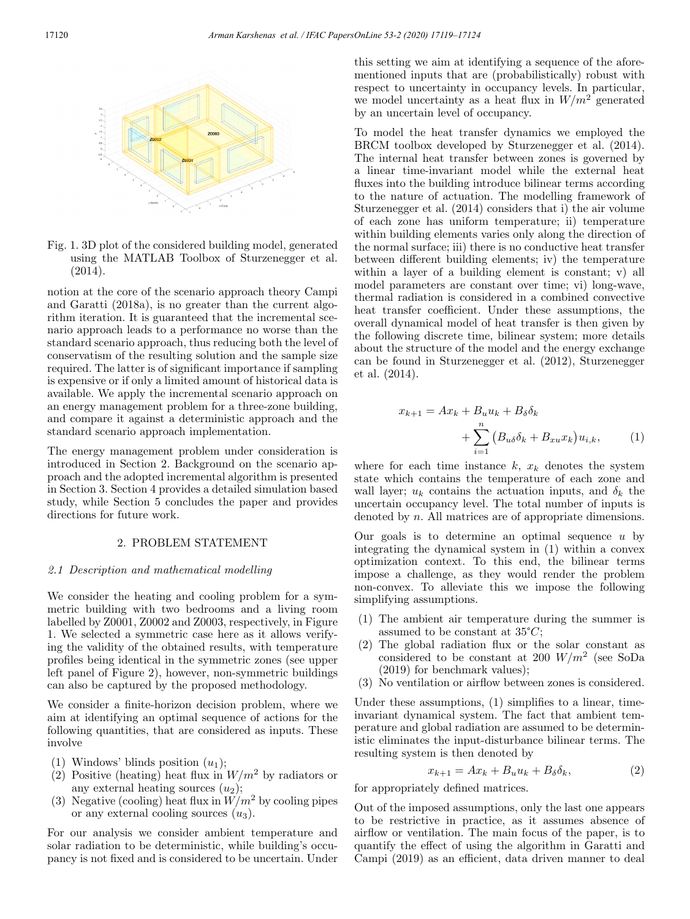

Fig. 1. 3D plot of the considered building model, generated using the MATLAB Toolbox of Sturzenegger et al. (2014).

notion at the core of the scenario approach theory Campi and Garatti (2018a), is no greater than the current algorithm iteration. It is guaranteed that the incremental scenario approach leads to a performance no worse than the standard scenario approach, thus reducing both the level of conservatism of the resulting solution and the sample size required. The latter is of significant importance if sampling is expensive or if only a limited amount of historical data is available. We apply the incremental scenario approach on an energy management problem for a three-zone building, and compare it against a deterministic approach and the standard scenario approach implementation.

The energy management problem under consideration is introduced in Section 2. Background on the scenario approach and the adopted incremental algorithm is presented in Section 3. Section 4 provides a detailed simulation based study, while Section 5 concludes the paper and provides directions for future work.

## 2. PROBLEM STATEMENT

#### 2.1 Description and mathematical modelling

We consider the heating and cooling problem for a symmetric building with two bedrooms and a living room labelled by Z0001, Z0002 and Z0003, respectively, in Figure 1. We selected a symmetric case here as it allows verifying the validity of the obtained results, with temperature profiles being identical in the symmetric zones (see upper left panel of Figure 2), however, non-symmetric buildings can also be captured by the proposed methodology.

We consider a finite-horizon decision problem, where we aim at identifying an optimal sequence of actions for the following quantities, that are considered as inputs. These involve

- (1) Windows' blinds position  $(u_1)$ ;
- (2) Positive (heating) heat flux in  $W/m^2$  by radiators or any external heating sources  $(u_2)$ ;
- (3) Negative (cooling) heat flux in  $W/m^2$  by cooling pipes or any external cooling sources  $(u_3)$ .

For our analysis we consider ambient temperature and solar radiation to be deterministic, while building's occupancy is not fixed and is considered to be uncertain. Under this setting we aim at identifying a sequence of the aforementioned inputs that are (probabilistically) robust with respect to uncertainty in occupancy levels. In particular, we model uncertainty as a heat flux in  $W/m^2$  generated by an uncertain level of occupancy.

To model the heat transfer dynamics we employed the BRCM toolbox developed by Sturzenegger et al. (2014). The internal heat transfer between zones is governed by a linear time-invariant model while the external heat fluxes into the building introduce bilinear terms according to the nature of actuation. The modelling framework of Sturzenegger et al. (2014) considers that i) the air volume of each zone has uniform temperature; ii) temperature within building elements varies only along the direction of the normal surface; iii) there is no conductive heat transfer between different building elements; iv) the temperature within a layer of a building element is constant; v) all model parameters are constant over time; vi) long-wave, thermal radiation is considered in a combined convective heat transfer coefficient. Under these assumptions, the overall dynamical model of heat transfer is then given by the following discrete time, bilinear system; more details about the structure of the model and the energy exchange can be found in Sturzenegger et al. (2012), Sturzenegger et al. (2014).

$$
x_{k+1} = Ax_k + B_u u_k + B_\delta \delta_k
$$
  
+ 
$$
\sum_{i=1}^n (B_{u\delta} \delta_k + B_{xu} x_k) u_{i,k},
$$
 (1)

where for each time instance  $k, x_k$  denotes the system state which contains the temperature of each zone and wall layer;  $u_k$  contains the actuation inputs, and  $\delta_k$  the uncertain occupancy level. The total number of inputs is denoted by n. All matrices are of appropriate dimensions.

Our goals is to determine an optimal sequence  $u$  by integrating the dynamical system in (1) within a convex optimization context. To this end, the bilinear terms impose a challenge, as they would render the problem non-convex. To alleviate this we impose the following simplifying assumptions.

- (1) The ambient air temperature during the summer is assumed to be constant at  $35^{\circ}C$ ;
- (2) The global radiation flux or the solar constant as considered to be constant at 200  $W/m^2$  (see SoDa (2019) for benchmark values);
- (3) No ventilation or airflow between zones is considered.

Under these assumptions, (1) simplifies to a linear, timeinvariant dynamical system. The fact that ambient temperature and global radiation are assumed to be deterministic eliminates the input-disturbance bilinear terms. The resulting system is then denoted by

$$
x_{k+1} = Ax_k + B_u u_k + B_\delta \delta_k, \tag{2}
$$

for appropriately defined matrices.

Out of the imposed assumptions, only the last one appears to be restrictive in practice, as it assumes absence of airflow or ventilation. The main focus of the paper, is to quantify the effect of using the algorithm in Garatti and Campi (2019) as an efficient, data driven manner to deal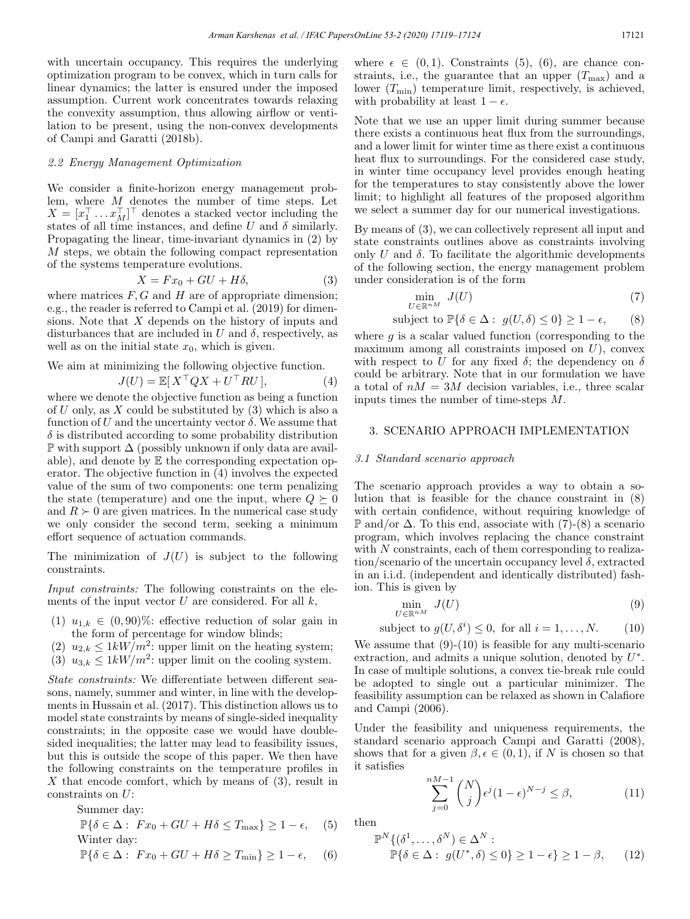with uncertain occupancy. This requires the underlying optimization program to be convex, which in turn calls for linear dynamics; the latter is ensured under the imposed assumption. Current work concentrates towards relaxing the convexity assumption, thus allowing airflow or ventilation to be present, using the non-convex developments of Campi and Garatti (2018b).

# 2.2 Energy Management Optimization

We consider a finite-horizon energy management problem, where  $M$  denotes the number of time steps. Let  $X = [x_1^1 \dots x_M^1]^T$  denotes a stacked vector including the states of all time instances, and define U and  $\delta$  similarly. Propagating the linear, time-invariant dynamics in (2) by M steps, we obtain the following compact representation of the systems temperature evolutions.

$$
X = Fx_0 + GU + H\delta,\tag{3}
$$

where matrices  $F, G$  and  $H$  are of appropriate dimension; e.g., the reader is referred to Campi et al. (2019) for dimensions. Note that X depends on the history of inputs and disturbances that are included in U and  $\delta$ , respectively, as well as on the initial state  $x_0$ , which is given.

We aim at minimizing the following objective function.

$$
J(U) = \mathbb{E}[X^\top Q X + U^\top R U],\tag{4}
$$

where we denote the objective function as being a function of U only, as X could be substituted by  $(3)$  which is also a function of U and the uncertainty vector  $\delta$ . We assume that  $\delta$  is distributed according to some probability distribution  $\mathbb P$  with support  $\Delta$  (possibly unknown if only data are available), and denote by  $E$  the corresponding expectation operator. The objective function in (4) involves the expected value of the sum of two components: one term penalizing the state (temperature) and one the input, where  $Q \succeq 0$ and  $R \geq 0$  are given matrices. In the numerical case study we only consider the second term, seeking a minimum effort sequence of actuation commands.

The minimization of  $J(U)$  is subject to the following constraints.

Input constraints: The following constraints on the elements of the input vector  $U$  are considered. For all  $k$ ,

- (1)  $u_{1,k} \in (0,90)\%$ : effective reduction of solar gain in the form of percentage for window blinds;
- (2)  $u_{2,k} \leq 1kW/m^2$ : upper limit on the heating system;
- (3)  $u_{3,k} \leq 1kW/m^2$ : upper limit on the cooling system.

State constraints: We differentiate between different seasons, namely, summer and winter, in line with the developments in Hussain et al. (2017). This distinction allows us to model state constraints by means of single-sided inequality constraints; in the opposite case we would have doublesided inequalities; the latter may lead to feasibility issues, but this is outside the scope of this paper. We then have the following constraints on the temperature profiles in X that encode comfort, which by means of  $(3)$ , result in constraints on U:

Summer day:

$$
\mathbb{P}\{\delta \in \Delta: F x_0 + GU + H \delta \le T_{\text{max}}\} \ge 1 - \epsilon, \quad (5)
$$
  
Winter day:

$$
\mathbb{P}\{\delta \in \Delta: \ Fx_0 + GU + H\delta \ge T_{\min}\} \ge 1 - \epsilon, \quad (6)
$$

where  $\epsilon \in (0,1)$ . Constraints (5), (6), are chance constraints, i.e., the guarantee that an upper  $(T_{\text{max}})$  and a lower  $(T_{\min})$  temperature limit, respectively, is achieved, with probability at least  $1 - \epsilon$ .

Note that we use an upper limit during summer because there exists a continuous heat flux from the surroundings, and a lower limit for winter time as there exist a continuous heat flux to surroundings. For the considered case study, in winter time occupancy level provides enough heating for the temperatures to stay consistently above the lower limit; to highlight all features of the proposed algorithm we select a summer day for our numerical investigations.

By means of (3), we can collectively represent all input and state constraints outlines above as constraints involving only  $U$  and  $\delta$ . To facilitate the algorithmic developments of the following section, the energy management problem under consideration is of the form

$$
\min_{U \in \mathbb{R}^{nM}} J(U) \tag{7}
$$

subject to 
$$
\mathbb{P}\{\delta \in \Delta : g(U,\delta) \leq 0\} \geq 1-\epsilon,
$$
 (8)

where  $q$  is a scalar valued function (corresponding to the maximum among all constraints imposed on  $U$ ), convex with respect to U for any fixed  $\delta$ ; the dependency on  $\delta$ could be arbitrary. Note that in our formulation we have a total of  $nM = 3M$  decision variables, i.e., three scalar inputs times the number of time-steps M.

# 3. SCENARIO APPROACH IMPLEMENTATION

#### 3.1 Standard scenario approach

The scenario approach provides a way to obtain a solution that is feasible for the chance constraint in (8) with certain confidence, without requiring knowledge of P and/or ∆. To this end, associate with (7)-(8) a scenario program, which involves replacing the chance constraint with  $N$  constraints, each of them corresponding to realization/scenario of the uncertain occupancy level  $\delta$ , extracted in an i.i.d. (independent and identically distributed) fashion. This is given by

$$
\min_{U \in \mathbb{R}^{nM}} J(U) \tag{9}
$$

subject to 
$$
g(U, \delta^i) \leq 0
$$
, for all  $i = 1, ..., N$ . (10)

We assume that  $(9)-(10)$  is feasible for any multi-scenario extraction, and admits a unique solution, denoted by  $U^*$ . In case of multiple solutions, a convex tie-break rule could be adopted to single out a particular minimizer. The feasibility assumption can be relaxed as shown in Calafiore and Campi (2006).

Under the feasibility and uniqueness requirements, the standard scenario approach Campi and Garatti (2008), shows that for a given  $\beta, \epsilon \in (0,1)$ , if N is chosen so that it satisfies

$$
\sum_{j=0}^{nM-1} \binom{N}{j} \epsilon^j (1-\epsilon)^{N-j} \le \beta,\tag{11}
$$

then

$$
\mathbb{P}^N \{ (\delta^1, \dots, \delta^N) \in \Delta^N : \mathbb{P} \{ \delta \in \Delta : g(U^*, \delta) \le 0 \} \ge 1 - \epsilon \} \ge 1 - \beta, \qquad (12)
$$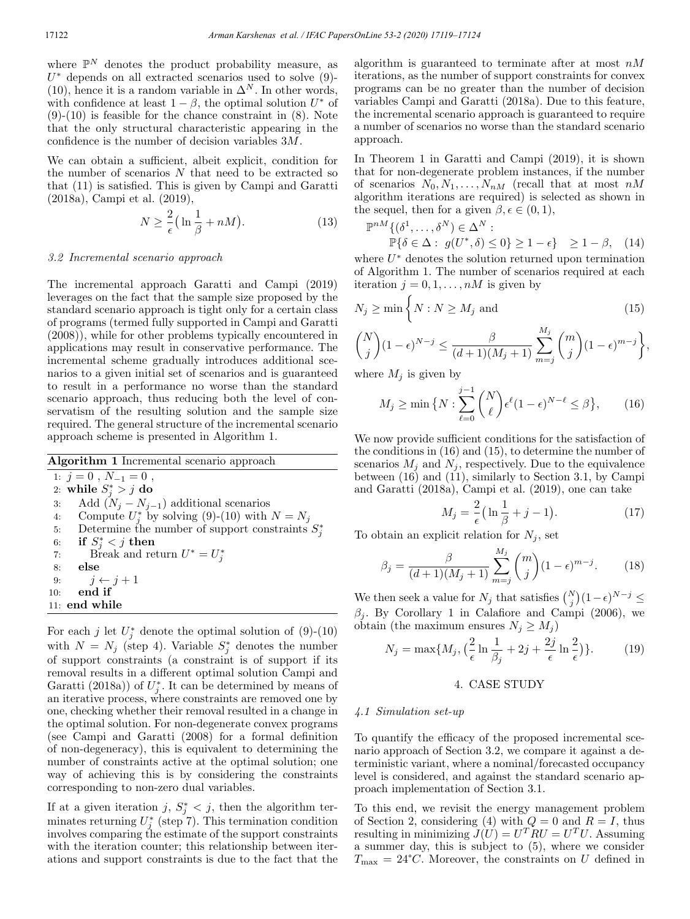where  $\mathbb{P}^N$  denotes the product probability measure, as  $U^*$  depends on all extracted scenarios used to solve (9)-(10), hence it is a random variable in  $\Delta^N$ . In other words, with confidence at least  $1 - \beta$ , the optimal solution  $U^*$  of  $(9)-(10)$  is feasible for the chance constraint in  $(8)$ . Note that the only structural characteristic appearing in the confidence is the number of decision variables 3M.

We can obtain a sufficient, albeit explicit, condition for the number of scenarios  $N$  that need to be extracted so that (11) is satisfied. This is given by Campi and Garatti (2018a), Campi et al. (2019),

$$
N \ge \frac{2}{\epsilon} \left( \ln \frac{1}{\beta} + nM \right). \tag{13}
$$

### 3.2 Incremental scenario approach

The incremental approach Garatti and Campi (2019) leverages on the fact that the sample size proposed by the standard scenario approach is tight only for a certain class of programs (termed fully supported in Campi and Garatti (2008)), while for other problems typically encountered in applications may result in conservative performance. The incremental scheme gradually introduces additional scenarios to a given initial set of scenarios and is guaranteed to result in a performance no worse than the standard scenario approach, thus reducing both the level of conservatism of the resulting solution and the sample size required. The general structure of the incremental scenario approach scheme is presented in Algorithm 1.

|  |  |  |  |  |  | <b>Algorithm 1</b> Incremental scenario approach |  |  |  |
|--|--|--|--|--|--|--------------------------------------------------|--|--|--|
|--|--|--|--|--|--|--------------------------------------------------|--|--|--|

1:  $j = 0$ ,  $N_{-1} = 0$ , 2: while  $S^*_j > j$  do 3: Add  $(N_j - N_{j-1})$  additional scenarios<br>4: Compute  $U^*$  by solving (9)-(10) with 4: Compute  $U_j^*$  by solving (9)-(10) with  $N = N_j$ 5: Determine the number of support constraints  $S_j^*$ 6: if  $S^*_j < j$  then 7: Break and return  $U^* = U_j^*$ 8: else 9:  $j \leftarrow j + 1$ <br>10: **end if** end if 11: end while

For each j let  $U_j^*$  denote the optimal solution of (9)-(10) with  $N = N_j$  (step 4). Variable  $S_j^*$  denotes the number of support constraints (a constraint is of support if its removal results in a different optimal solution Campi and Garatti (2018a)) of  $U_j^*$ . It can be determined by means of an iterative process, where constraints are removed one by one, checking whether their removal resulted in a change in the optimal solution. For non-degenerate convex programs (see Campi and Garatti (2008) for a formal definition of non-degeneracy), this is equivalent to determining the number of constraints active at the optimal solution; one way of achieving this is by considering the constraints corresponding to non-zero dual variables.

If at a given iteration j,  $S_j^* < j$ , then the algorithm terminates returning  $U_j^*$  (step 7). This termination condition involves comparing the estimate of the support constraints with the iteration counter; this relationship between iterations and support constraints is due to the fact that the algorithm is guaranteed to terminate after at most  $nM$ iterations, as the number of support constraints for convex programs can be no greater than the number of decision variables Campi and Garatti (2018a). Due to this feature, the incremental scenario approach is guaranteed to require a number of scenarios no worse than the standard scenario approach.

In Theorem 1 in Garatti and Campi (2019), it is shown that for non-degenerate problem instances, if the number of scenarios  $N_0, N_1, \ldots, N_{nM}$  (recall that at most  $nM$ algorithm iterations are required) is selected as shown in the sequel, then for a given  $\beta, \epsilon \in (0, 1)$ ,

$$
\mathbb{P}^{nM}\{(\delta^1,\ldots,\delta^N)\in\Delta^N:\mathbb{P}\{\delta\in\Delta:\ g(U^*,\delta)\leq 0\}\geq 1-\epsilon\}\geq 1-\beta,\quad(14)
$$

where  $U^*$  denotes the solution returned upon termination of Algorithm 1. The number of scenarios required at each iteration  $j = 0, 1, \ldots, nM$  is given by

$$
N_j \ge \min\left\{N : N \ge M_j \text{ and } \tag{15}
$$

$$
\binom{N}{j}(1-\epsilon)^{N-j} \le \frac{\beta}{(d+1)(M_j+1)} \sum_{m=j}^{M_j} \binom{m}{j}(1-\epsilon)^{m-j},
$$

where  $M_j$  is given by

$$
M_j \ge \min\big\{N : \sum_{\ell=0}^{j-1} \binom{N}{\ell} \epsilon^{\ell} (1-\epsilon)^{N-\ell} \le \beta \big\},\qquad(16)
$$

We now provide sufficient conditions for the satisfaction of the conditions in (16) and (15), to determine the number of scenarios  $M_i$  and  $N_i$ , respectively. Due to the equivalence between (16) and (11), similarly to Section 3.1, by Campi and Garatti (2018a), Campi et al. (2019), one can take

$$
M_j = \frac{2}{\epsilon} \left( \ln \frac{1}{\beta} + j - 1 \right). \tag{17}
$$

To obtain an explicit relation for  $N_j$ , set

$$
\beta_j = \frac{\beta}{(d+1)(M_j+1)} \sum_{m=j}^{M_j} \binom{m}{j} (1-\epsilon)^{m-j}.
$$
 (18)

We then seek a value for  $N_j$  that satisfies  $\binom{N}{j}(1-\epsilon)^{N-j} \leq$  $\beta_j$ . By Corollary 1 in Calafiore and Campi (2006), we obtain (the maximum ensures  $N_i \geq M_i$ )

$$
N_j = \max\{M_j, \left(\frac{2}{\epsilon}\ln\frac{1}{\beta_j} + 2j + \frac{2j}{\epsilon}\ln\frac{2}{\epsilon}\right)\}.
$$
 (19)

## 4. CASE STUDY

#### 4.1 Simulation set-up

To quantify the efficacy of the proposed incremental scenario approach of Section 3.2, we compare it against a deterministic variant, where a nominal/forecasted occupancy level is considered, and against the standard scenario approach implementation of Section 3.1.

To this end, we revisit the energy management problem of Section 2, considering (4) with  $Q = 0$  and  $R = I$ , thus resulting in minimizing  $J(U) = U<sup>T</sup>RU = U<sup>T</sup>U$ . Assuming a summer day, this is subject to (5), where we consider  $T_{\text{max}} = 24^{\circ}C$ . Moreover, the constraints on U defined in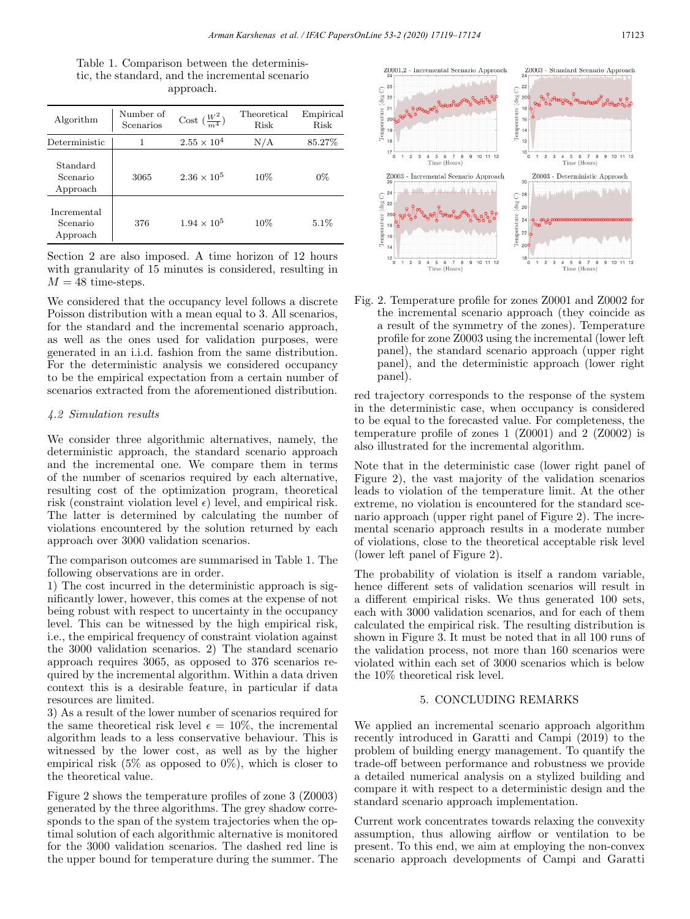| Table 1. Comparison between the determinis-     |
|-------------------------------------------------|
| tic, the standard, and the incremental scenario |
| approach.                                       |

| Algorithm                           | Number of<br>Scenarios | Cost $\left(\frac{W^2}{m^4}\right)$ | Theoretical<br>Risk | Empirical<br>Risk |
|-------------------------------------|------------------------|-------------------------------------|---------------------|-------------------|
| Deterministic                       |                        | $2.55 \times 10^{4}$                | N/A                 | 85.27%            |
| Standard<br>Scenario<br>Approach    | 3065                   | $2.36 \times 10^5$                  | $10\%$              | $0\%$             |
| Incremental<br>Scenario<br>Approach | 376                    | $1.94 \times 10^{5}$                | $10\%$              | $5.1\%$           |

Section 2 are also imposed. A time horizon of 12 hours with granularity of 15 minutes is considered, resulting in  $M = 48$  time-steps.

We considered that the occupancy level follows a discrete Poisson distribution with a mean equal to 3. All scenarios, for the standard and the incremental scenario approach, as well as the ones used for validation purposes, were generated in an i.i.d. fashion from the same distribution. For the deterministic analysis we considered occupancy to be the empirical expectation from a certain number of scenarios extracted from the aforementioned distribution.

## 4.2 Simulation results

We consider three algorithmic alternatives, namely, the deterministic approach, the standard scenario approach and the incremental one. We compare them in terms of the number of scenarios required by each alternative, resulting cost of the optimization program, theoretical risk (constraint violation level  $\epsilon$ ) level, and empirical risk. The latter is determined by calculating the number of violations encountered by the solution returned by each approach over 3000 validation scenarios.

The comparison outcomes are summarised in Table 1. The following observations are in order.

1) The cost incurred in the deterministic approach is significantly lower, however, this comes at the expense of not being robust with respect to uncertainty in the occupancy level. This can be witnessed by the high empirical risk, i.e., the empirical frequency of constraint violation against the 3000 validation scenarios. 2) The standard scenario approach requires 3065, as opposed to 376 scenarios required by the incremental algorithm. Within a data driven context this is a desirable feature, in particular if data resources are limited.

3) As a result of the lower number of scenarios required for the same theoretical risk level  $\epsilon = 10\%$ , the incremental algorithm leads to a less conservative behaviour. This is witnessed by the lower cost, as well as by the higher empirical risk  $(5\%$  as opposed to  $0\%$ ), which is closer to the theoretical value.

Figure 2 shows the temperature profiles of zone 3 (Z0003) generated by the three algorithms. The grey shadow corresponds to the span of the system trajectories when the optimal solution of each algorithmic alternative is monitored for the 3000 validation scenarios. The dashed red line is the upper bound for temperature during the summer. The



Fig. 2. Temperature profile for zones Z0001 and Z0002 for the incremental scenario approach (they coincide as a result of the symmetry of the zones). Temperature profile for zone Z0003 using the incremental (lower left panel), the standard scenario approach (upper right panel), and the deterministic approach (lower right panel).

red trajectory corresponds to the response of the system in the deterministic case, when occupancy is considered to be equal to the forecasted value. For completeness, the temperature profile of zones 1 (Z0001) and 2 (Z0002) is also illustrated for the incremental algorithm.

Note that in the deterministic case (lower right panel of Figure 2), the vast majority of the validation scenarios leads to violation of the temperature limit. At the other extreme, no violation is encountered for the standard scenario approach (upper right panel of Figure 2). The incremental scenario approach results in a moderate number of violations, close to the theoretical acceptable risk level (lower left panel of Figure 2).

The probability of violation is itself a random variable, hence different sets of validation scenarios will result in a different empirical risks. We thus generated 100 sets, each with 3000 validation scenarios, and for each of them calculated the empirical risk. The resulting distribution is shown in Figure 3. It must be noted that in all 100 runs of the validation process, not more than 160 scenarios were violated within each set of 3000 scenarios which is below the 10% theoretical risk level.

# 5. CONCLUDING REMARKS

We applied an incremental scenario approach algorithm recently introduced in Garatti and Campi (2019) to the problem of building energy management. To quantify the trade-off between performance and robustness we provide a detailed numerical analysis on a stylized building and compare it with respect to a deterministic design and the standard scenario approach implementation.

Current work concentrates towards relaxing the convexity assumption, thus allowing airflow or ventilation to be present. To this end, we aim at employing the non-convex scenario approach developments of Campi and Garatti